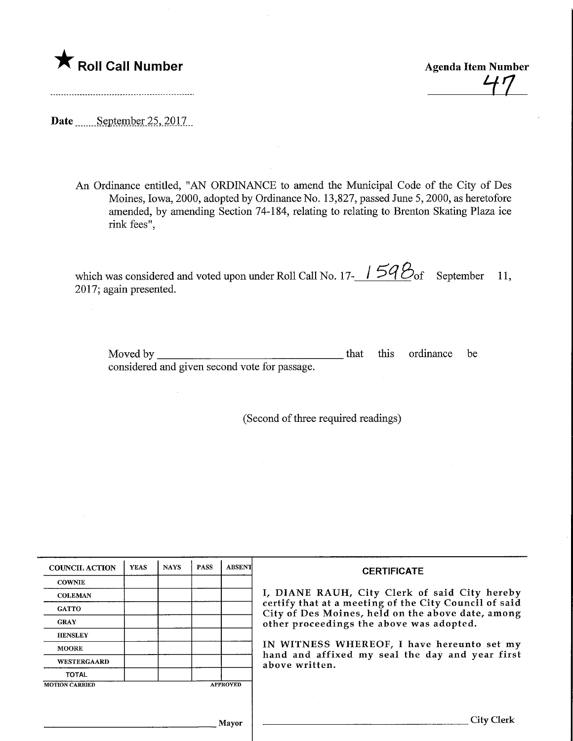

HI

Date September 25, 2017.

An Ordinance entitled, "AN ORDINANCE to amend the Municipal Code of the City of Des Moines, Iowa, 2000, adopted by Ordinance No. 13,827, passed June 5,2000, as heretofore amended, by amending Section 74-184, relating to relating to Brenton Skating Plaza ice rink fees",

which was considered and voted upon under Roll Call No. 17- $\frac{154}{\omega}$  of September 11, 2017; again presented.

| Moved by                                      |  | that this ordinance be |  |
|-----------------------------------------------|--|------------------------|--|
| considered and given second vote for passage. |  |                        |  |

(Second of three required readings)

| <b>COUNCIL ACTION</b> | <b>YEAS</b> | <b>NAYS</b> | <b>PASS</b> | <b>ABSENT</b>   | <b>CERTIFICATE</b>                                                                                         |
|-----------------------|-------------|-------------|-------------|-----------------|------------------------------------------------------------------------------------------------------------|
| <b>COWNIE</b>         |             |             |             |                 |                                                                                                            |
| <b>COLEMAN</b>        |             |             |             |                 | I, DIANE RAUH, City Clerk of said City hereby                                                              |
| <b>GATTO</b>          |             |             |             |                 | certify that at a meeting of the City Council of said<br>City of Des Moines, held on the above date, among |
| <b>GRAY</b>           |             |             |             |                 | other proceedings the above was adopted.                                                                   |
| <b>HENSLEY</b>        |             |             |             |                 |                                                                                                            |
| <b>MOORE</b>          |             |             |             |                 | IN WITNESS WHEREOF, I have hereunto set my                                                                 |
| WESTERGAARD           |             |             |             |                 | hand and affixed my seal the day and year first<br>above written.                                          |
| <b>TOTAL</b>          |             |             |             |                 |                                                                                                            |
| <b>MOTION CARRIED</b> |             |             |             | <b>APPROVED</b> |                                                                                                            |
|                       |             |             |             |                 |                                                                                                            |
|                       |             |             |             | Mayor           | City Clerk                                                                                                 |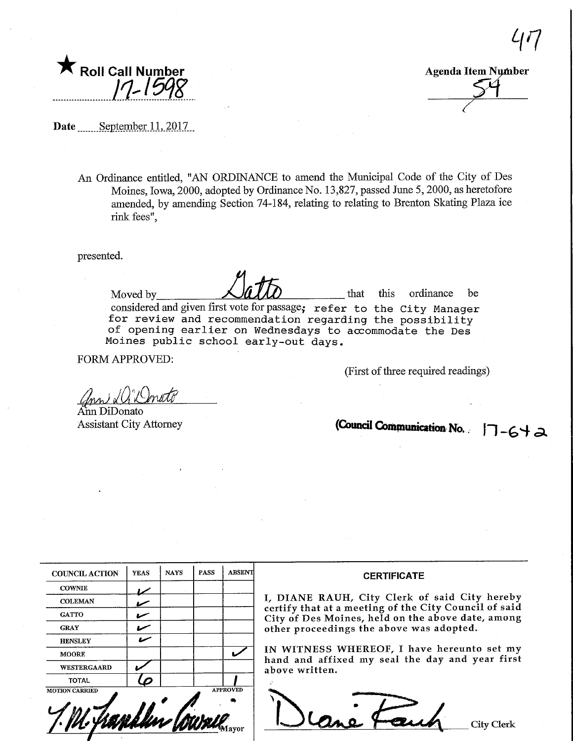

Agenda Item Number

 $47$ 

Date September 11, 2017

An Ordinance entitled, "AN ORDINANCE to amend the Municipal Code of the City of Des Moines, Iowa, 2000, adopted by Ordinance No. 13,827, passed June 5, 2000, as heretofore amended, by amending Section 74-184, relating to relating to Brenton Skating Plaza ice rink fees",

presented.

Moved by **After that** this ordinance be considered and given first vote for passage; refer to the City Manager for review and recommendation regarding the possibility of opening earlier on Wednesdays to accommodate the Des Moines public school early-out days.

FORM APPROVED:

(First of three required readings)

ann Di Donato

Aim DiDonato Assistant City Attorney

(Council Communication No.  $|7 - 6 + \infty$ 

| <b>COUNCIL ACTION</b> | <b>YEAS</b> | <b>NAYS</b> | <b>PASS</b> | <b>ABSENT</b>   |
|-----------------------|-------------|-------------|-------------|-----------------|
| <b>COWNIE</b>         |             |             |             |                 |
| <b>COLEMAN</b>        |             |             |             |                 |
| <b>GATTO</b>          |             |             |             |                 |
| <b>GRAY</b>           |             |             |             |                 |
| <b>HENSLEY</b>        |             |             |             |                 |
| <b>MOORE</b>          |             |             |             |                 |
| WESTERGAARD           |             |             |             |                 |
| <b>TOTAL</b>          |             |             |             |                 |
| <b>MOTION CARRIED</b> |             |             |             | <b>APPROVED</b> |

#### **CERTIFICATE**

\, DIANE RAUH, City Clerk of said City hereby certify that at a meeting of the City Council of said City of Des Moines, held on the above date, among other proceedings the above was adopted.

IN WITNESS WHEREOF, I have hereunto set my hand and affixed my seal the day and year first above written.

 $\sum_{i=1}^{n}$ Cane & cuch City Clerk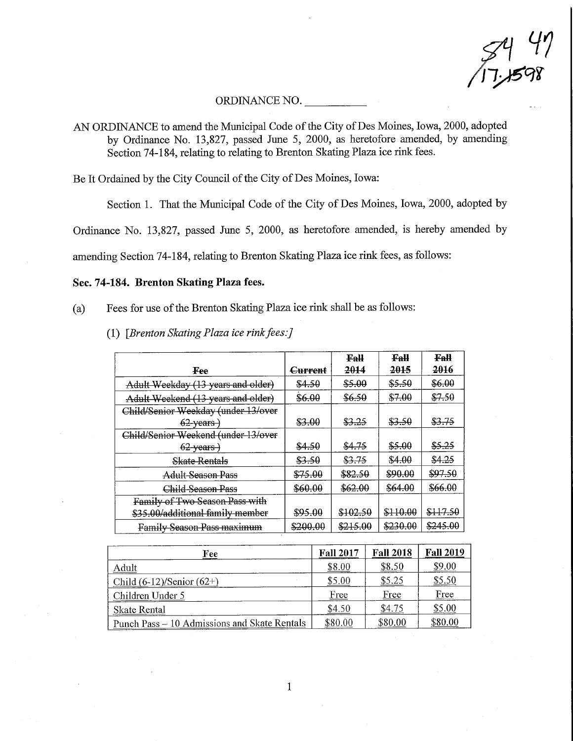$3447$ 17.1598

#### ORDINANCE NO.

AN ORDINANCE to amend the Municipal Code of the City of Des Moines, Iowa, 2000, adopted by Ordinance No. 13,827, passed June 5, 2000, as heretofore amended, by amending Section 74-184, relating to relating to Brenton Skating Plaza ice rink fees.

Be It Ordained by the City Council of the City of Des Moines, Iowa:

Section 1. That the Municipal Code of the City of Des Moines, Iowa, 2000, adopted by

Ordinance No. 13,827, passed June 5, 2000, as heretofore amended, is hereby amended by

amending Section 74-184, relating to Brenton Skating Plaza ice rink fees, as follows:

#### Sec. 74-184. Brenton Skating Plaza fees.

- (a) Fees for use of the Brenton Skating Plaza ice rink shall be as follows:
	- (1) [Brenton Skating Plaza ice rink fees:]

|                                     |                | Fall     | Fall              | <b>Fall</b>        |
|-------------------------------------|----------------|----------|-------------------|--------------------|
| Fee                                 | <b>Current</b> | 2014     | 2015              | 2016               |
| Adult Weekday (13 years and older)  | \$4.50         | \$5.00   | \$5.50            | \$6.00             |
| Adult Weekend (13 years and older)  | \$6.00         | \$6.50   | \$7.00            | \$7.50             |
| Child/Senior Weekday (under 13/over |                |          |                   |                    |
| $62$ -years)                        | \$3.00         | \$3.25   | <del>\$3.50</del> | \$3.75             |
| Child/Senior Weekend (under 13/over |                |          |                   |                    |
| $62$ years)                         | \$4.50         | \$4.75   | \$5.00            | \$5.25             |
| <b>Skate Rentals</b>                | \$3.50         | \$3.75   | \$4.00            | \$4.25             |
| Adult Season Pass                   | \$75.00        | \$82.50  | \$90.00           | <del>\$97.50</del> |
| Child Season Pass                   | \$60.00        | \$62.00  | \$64.00           | \$66.00            |
| Family of Two Season Pass with      |                |          |                   |                    |
| \$35.00/additional family member    | \$95.00        | \$102.50 | \$110.00          | \$117.50           |
| <b>Family Season Pass maximum</b>   | \$200.00       | \$215.00 | \$230.00          | \$245.00           |

| Fee                                          | <b>Fall 2017</b> | <b>Fall 2018</b> | <b>Fall 2019</b> |
|----------------------------------------------|------------------|------------------|------------------|
| Adult                                        | \$8.00           | \$8.50           | \$9,00           |
| Child $(6-12)/\text{Senior} (62+)$           | \$5.00           | \$5.25           | \$5.50           |
| Children Under 5                             | Free             | Free             | Free             |
| Skate Rental                                 | \$4.50           | \$4.75           | \$5.00           |
| Punch Pass – 10 Admissions and Skate Rentals | \$80.00          | \$80.00          | \$80.00          |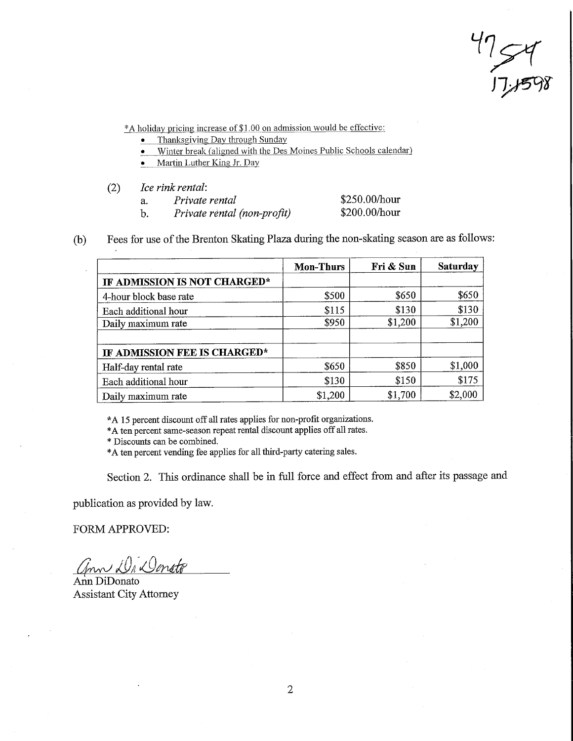$\frac{17}{17}$ 

\*A holiday pricing increase of \$1.00 on admission would be effective:

- Thanksgiving Day through Sunday
- Winter break (aligned with the Des Moines Public Schools calendar)
- Martin Luther King Jr. Day
- (2) Ice rink rental:
	- a. Private rental
	- b. Private rental (non-profit)

\$250.00/hour \$200.00/hour

(b) Fees for use of the Brenton Skating Plaza during the non-skating season are as follows:

|                              | <b>Mon-Thurs</b> | Fri & Sun | <b>Saturday</b> |
|------------------------------|------------------|-----------|-----------------|
| IF ADMISSION IS NOT CHARGED* |                  |           |                 |
| 4-hour block base rate       | \$500            | \$650     | \$650           |
| Each additional hour         | \$115            | \$130     | \$130           |
| Daily maximum rate           | \$950            | \$1,200   | \$1,200         |
| IF ADMISSION FEE IS CHARGED* |                  |           |                 |
| Half-day rental rate         | \$650            | \$850     | \$1,000         |
| Each additional hour         | \$130            | \$150     | \$175           |
| Daily maximum rate           | \$1,200          | \$1,700   | \$2,000         |

\*A 15 percent discount off all rates applies for non-profit organizations.

\*A ten percent same-season repeat rental discount applies off all rates.

\* Discounts can be combined.

\*A ten percent vending fee applies for all fhird-party catering sales.

Section 2. This ordinance shall be in full force and effect from and after its passage and

publication as provided by law.

FORM APPROVED:

ann Da Donato

Ann DiDonato Assistant City Attorney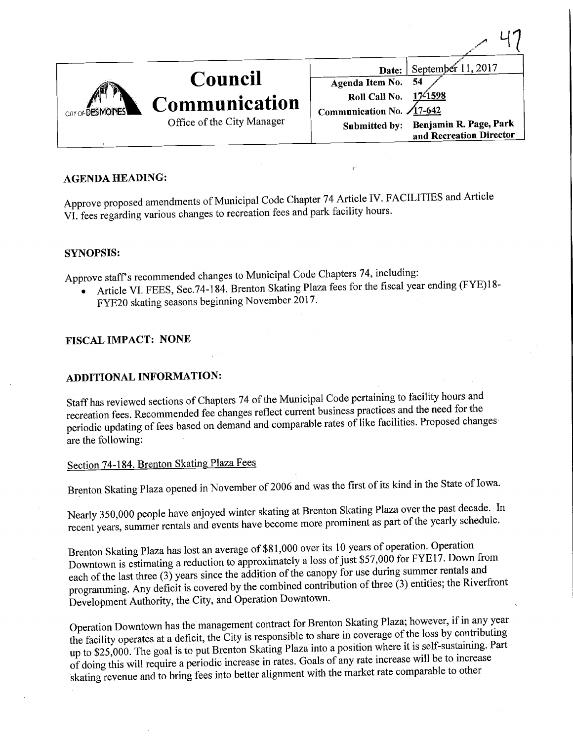| <b>Council</b>                                                   | September $11, 2017$<br>Date:<br>Agenda Item No. 54                                                                                     |
|------------------------------------------------------------------|-----------------------------------------------------------------------------------------------------------------------------------------|
| Communication<br>CITY OF DESMOINES<br>Office of the City Manager | <b>Roll Call No.</b><br>17/1598<br>Communication No. $\sqrt{17-642}$<br>Submitted by: Benjamin R. Page, Park<br>and Recreation Director |

ロワ

#### AGENDA HEADING:

Approve proposed amendments of Municipal Code Chapter 74 Article IV. FACILITIES and Article VI. fees regarding various changes to recreation fees and park facility hours.

#### SYNOPSIS:

Approve staff's recommended changes to Municipal Code Chapters 74, including:

- Article VI. FEES, Sec.74-184. Brenton Skating Plaza fees for the fiscal year ending (FYE)l 8- FYE20 skating seasons beginning November 2017.
	-

## FISCAL IMPACT: NONE

## ADDITIONAL INFORMATION:

Staff has reviewed sections of Chapters 74 of the Municipal Code pertaining to facility hours and ecreation fees. Recommended fee changes reflect current business processives. Proposed changes periodic updating of fees based on demand and comparable rates of like facilities. Proposed changes are the following:

## Section 74-184. Brenton Skating Plaza Fees

Brenton Skating Plaza opened in November of 2006 and was the first of its kind in the State of Iowa.

Nearly 350,000 people have enjoyed winter skating at Brenton Skating Plaza over the vearly schedule. recent years, summer rentals and events have become more prominent as part of the yearly schedule.

Brenton Skating Plaza has lost an average of \$81,000 over its 10 years of operation. Operation<br>Downtown is estimating a reduction to approximately a loss of just \$57,000 for FYE17. Down from each of the last three  $(3)$  years since the addition of the canopy for use during summer rentals and each of the last three (3) years since the addition of the canopy for use  $\frac{1}{2}$  and  $\frac{1}{2}$  and  $\frac{1}{2}$  and  $\frac{1}{2}$  and  $\frac{1}{2}$  and  $\frac{1}{2}$  and  $\frac{1}{2}$  and  $\frac{1}{2}$  and  $\frac{1}{2}$  and  $\frac{1}{2}$  and  $\frac{1}{2$ programming. Any deficit is covered by the combined contribution of three (3) entities; the River of the River Development Authority, the City, and Operation Downtown.

Operation Downtown has the management contract for Brenton Skating  $\epsilon$  and  $\epsilon$  is in any  $\epsilon$  of the loss by contributing the facility operates at a deficit, the City is responsible to share in coverage or the calf customing. Part up to \$25,000. The goal is to put Brenton Skating Plaza into a position where it is self-sustaining. Part of doing this will require a periodic increase in rates. Goals of any rate increase will be to increase of doing this will require a periodic increase in rates. Goals of any rate increase proceptle to other skating revenue and to bring fees into better alignment with the market rate comparable to other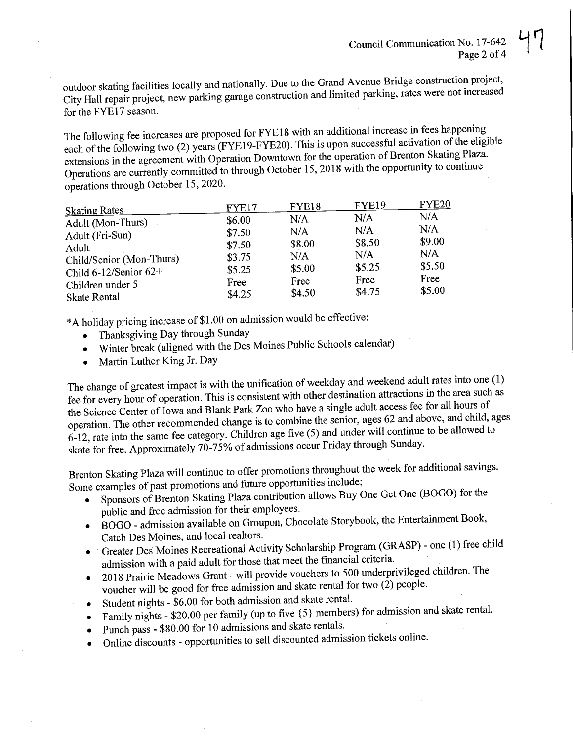door skating facilities locally and nationally. Due to the Grand Avenue Bridge construction category and increased  $\gamma$  Hall repair project, new parking garage construction and limited parking,  $\gamma$ for the FYE17 season.

The following fee increases are proposed for FYE18 with an additional increase in fees happening each of the following two (2) years (FYE19-FYE20). This is upon successful activation of the eligible extensions in the agreement with Operation Downtown for the operation of Brenton Skating Plaza. tensions in the agreement with Operation Downtown for the  $\frac{2018}{\pi}$  with the opportunity to continue  $\theta$  perations are currently committed to through October 15, 2018 with the opportunity to continue operations through October 15, 2020.

| <b>Skating Rates</b>       | FYE17  | FYE18  | <b>FYE19</b> | <b>FYE20</b> |
|----------------------------|--------|--------|--------------|--------------|
| Adult (Mon-Thurs)          | \$6.00 | N/A    | N/A          | N/A          |
| Adult (Fri-Sun)            | \$7.50 | N/A    | N/A          | N/A          |
| Adult                      | \$7.50 | \$8.00 | \$8.50       | \$9.00       |
| Child/Senior (Mon-Thurs)   | \$3.75 | N/A    | N/A          | N/A          |
| Child $6-12$ /Senior $62+$ | \$5.25 | \$5.00 | \$5.25       | \$5.50       |
| Children under 5           | Free   | Free   | Free         | Free         |
| <b>Skate Rental</b>        | \$4.25 | \$4.50 | \$4.75       | \$5.00       |

\*A holiday pricing increase of \$1.00 on admission would be effective:

- Thanksgiving Day through Sunday
- Winter break (aligned with the Des Moines Public Schools calendary)
- Martin Luther King Jr. Day  $\bullet$

the change of greatest impact is with the unification of weekend function attractions in the area such as fee for every hour of operation. This is consistent with other destination at the access fee for all hours of the Science Center of Iowa and Blank Park Zoo who have a single adult access fee for all hours of operation. The other recommended change is to combine the senior, ages 62 and above, and child, ages peration. The other recommended change is to combine the senior,  $\epsilon$  and  $\epsilon$  and  $\epsilon$  and  $\epsilon$  and  $\epsilon$  and  $\epsilon$  and  $\epsilon$  and  $\epsilon$  and  $\epsilon$  and continue to be allowed to  $-12$ , rate into the same fee category. Children age five  $(5)$  and under the sure Sunder skate for free. Approximately 70-75% of admissions occur Friday through Sunday.

Brenton Skating Plaza will continue to offer promotions throughout the week for additional savings.

- $\delta$  ome examples of past promotions and future opportunities include;  $\epsilon$  Sponsors of Brenton Skating Plaza contribution allows Buy One Get  $\epsilon$ 
	- public and free admission for their employees.  $\overline{B}$ BOGO - admission available on Groupon, Chocolate Storybook, the Entertainment Book
	- Catch Des Moines, and local realtors. Greater Des Moines Recreational Activity Scholarship Program (GRASP) -  $\sim$  ( $\sim$
	- admission with a paid adult for those that meet the financial criteria.  $\bullet$  2018 Prairie Meadows Grant - will provide vouchers to  $(2)$  people voucher will be good for free admission and skate rental for two  $(2)$  people.<br>Student nights - \$6.00 for both admission and skate rental.
	-
	- Student nights  $-$  \$0.00 for both admission and skate rental.
	- Family nights  $\frac{1}{2}$  ber family (up to five {3} members) for admission
	- Punch pass \$80.00 for 10 admissions and skate renders. • Online discounts - opportunities to sell discounted admission  $\alpha$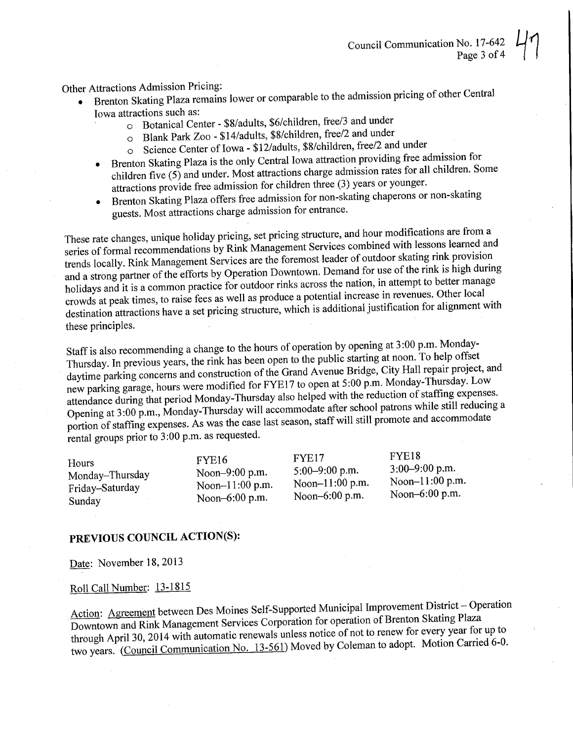## er Attractions Admission Pricing.

- $\bullet$ Brenton Skating Plaza remains lower or comparable to the admission pricing of  $\sim$ 
	- Iowa attractions such as:<br>
	o Botanical Center \$8/adults, \$6/children, free/3 and under
		- o Blank Park Zoo \$14/adults, \$8/children, free/2 and under
		- Science Center of Iowa \$12/adults, \$8/children, free/2 and under  $\circ$
	- Brenton Skating Plaza is the only Central Iowa attraction providing free admission for  $\bullet$ children five  $(5)$  and under. Most attractions charge admission rates for all children. Some attractions provide free admission for children three (3) years or younger. ractions provide free admission for emaler three  $(3)$  years of  $\alpha$  is  $\alpha$  in  $\alpha$

 $\bullet$ Brenton Skating Plaza offers free admission for non-skating chaperons or non-skating chaperons of non-skating chaperons of the setting chaperons of the setting chaperons of the setting chaperons of the setting conguests. Most attractions charge admission for entrance.

These rate changes, unique holiday pricing, set pricing structure, and hour modifications are from a series of formal recommendations by Rink Management Services combined with lessons learned and trends locally. Rink Management Services are the foremost leader of outdoor skating rink provision and a strong partner of the efforts by Operation Downtown. Demand for use of the rink is high during holidays and it is a common practice for outdoor rinks across the nation, in attempt to better manage crowds at peak times, to raise fees as well as produce a potential increase in revenues. Other local  $\alpha$  corors at peak times, to raise fees as well as produce a potential in a differential interventual in revenue  $\alpha$  $\alpha$  destination attractions have a set pricing structure, which is additional justification for all  $\alpha$ these principles.

Staff is also recommending a change to the hours of operation by opening at 3:00 p.m. Monday-<br>Thursday. In previous years, the rink has been open to the public starting at noon. To help offset daytime parking concerns and construction of the Grand Avenue Bridge, City Hall repair project, and new parking garage, hours were modified for FYE17 to open at 5:00 p.m. Monday-Thursday. Low attendance during that period Monday-Thursday also helped with the reduction of staffing expenses. Opening at 3:00 p.m., Monday-Thursday will accommodate after school patrons while still reducing a pening at  $3:00$  p.m., Monday-Thursday will accommodate and promote and accommodate  $\alpha$  ortion of staffing expenses. As was the case last season, state will still promote and accommodate and accommodate rental groups prior to 3:00 p.m. as requested.

| Hours           | FYE <sub>16</sub>  | FYE17              | FYE18            |
|-----------------|--------------------|--------------------|------------------|
| Monday–Thursday | Noon-9:00 p.m.     | $5:00-9:00$ p.m.   | $3:00-9:00$ p.m. |
| Friday-Saturday | Noon- $11:00$ p.m. | Noon- $11:00$ p.m. | Noon-11:00 p.m.  |
| Sunday          | Noon-6:00 p.m.     | Noon-6:00 p.m.     | Noon-6:00 p.m.   |

### PREVIOUS COUNCIL ACTION(S):

Date: November 18, 2013

### Roll Call Number: 13-1815

Action: Agreement between Des Moines Self-Supported Municipal Improvement District - Operation<br>Downtown and Rink Management Services Corporation for operation of Brenton Skating Plaza through April 30, 2014 with automatic renewals unless notice of not to renew for every year for up to through April 30, 2014 with automatic renewals unless notice  $\epsilon$  of  $\epsilon$  of  $\epsilon$  of  $\epsilon$  of  $\epsilon$  of  $\epsilon$  of  $\epsilon$  of  $\epsilon$  of  $\epsilon$  of  $\epsilon$  of  $\epsilon$  of  $\epsilon$  of  $\epsilon$  of  $\epsilon$  of  $\epsilon$  of  $\epsilon$  of  $\epsilon$  of  $\epsilon$  of  $\epsilon$  of  $\epsilon$  or two years. (Council Communication No.  $13-561$ ) Moved by Coleman to a  $\alpha$